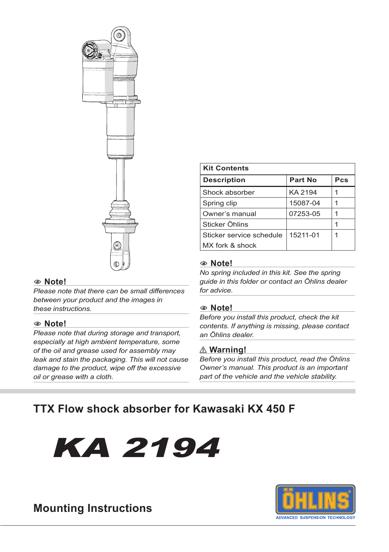

#### 1 **Note!**

*Please note that there can be small differences between your product and the images in these instructions.*

#### 1 **Note!**

*Please note that during storage and transport, especially at high ambient temperature, some of the oil and grease used for assembly may leak and stain the packaging. This will not cause damage to the product, wipe off the excessive oil or grease with a cloth.*

| <b>Kit Contents</b>      |          |     |  |  |
|--------------------------|----------|-----|--|--|
| <b>Description</b>       | Part No  | Pcs |  |  |
| Shock absorber           | KA 2194  |     |  |  |
| Spring clip              | 15087-04 |     |  |  |
| Owner's manual           | 07253-05 |     |  |  |
| Sticker Öhlins           |          |     |  |  |
| Sticker service schedule | 15211-01 | 1   |  |  |
| MX fork & shock          |          |     |  |  |

#### 1 **Note!**

*No spring included in this kit. See the spring guide in this folder or contact an Öhlins dealer for advice.*

#### 1 **Note!**

*Before you install this product, check the kit contents. If anything is missing, please contact an Öhlins dealer.*

#### ⚠ **Warning!**

*Before you install this product, read the Öhlins Owner's manual. This product is an important part of the vehicle and the vehicle stability.*

### **TTX Flow shock absorber for Kawasaki KX 450 F**

# KA 2194



### **Mounting Instructions**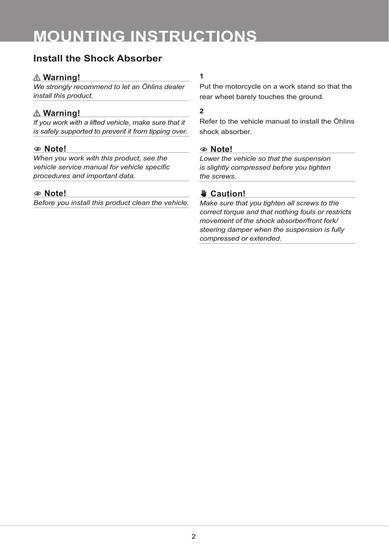# **MOUNTING INSTRUCTIONS**

### **Install the Shock Absorber**

#### ⚠ **Warning!**

*We strongly recommend to let an Öhlins dealer install this product.*

#### ⚠ **Warning!**

*If you work with a lifted vehicle, make sure that it is safely supported to prevent it from tipping over.*

#### 1 **Note!**

*When you work with this product, see the vehicle service manual for vehicle specific procedures and important data.*

#### 1 **Note!**

*Before you install this product clean the vehicle.*

#### **1**

Put the motorcycle on a work stand so that the rear wheel barely touches the ground.

#### **2**

Refer to the vehicle manual to install the Öhlins shock absorber.

#### 1 **Note!**

*Lower the vehicle so that the suspension is slightly compressed before you tighten the screws.*

#### ✋ **Caution!**

*Make sure that you tighten all screws to the correct torque and that nothing fouls or restricts movement of the shock absorber/front fork/ steering damper when the suspension is fully compressed or extended.*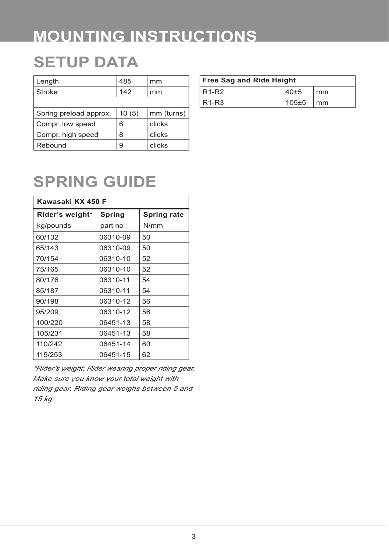# **MOUNTING INSTRUCTIONS**

## **SETUP DATA**

| Length                 | 485   | mm         |
|------------------------|-------|------------|
| Stroke                 | 142   | mm         |
|                        |       |            |
| Spring preload approx. | 10(5) | mm (turns) |
| Compr. low speed       | 6     | clicks     |
| Compr. high speed      | 8     | clicks     |
| Rebound                | 9     | clicks     |

| <b>Free Sag and Ride Height</b> |           |                        |  |  |
|---------------------------------|-----------|------------------------|--|--|
| $R1-R2$                         | $40 + 5$  | mm                     |  |  |
| $R1-R3$                         | $105 + 5$ | $\mathsf{m}\mathsf{m}$ |  |  |

# **SPRING GUIDE**

| Kawasaki KX 450 F |          |                    |  |  |
|-------------------|----------|--------------------|--|--|
| Rider's weight*   | Spring   | <b>Spring rate</b> |  |  |
| kg/pounds         | part no  | N/mm               |  |  |
| 60/132            | 06310-09 | 50                 |  |  |
| 65/143            | 06310-09 | 50                 |  |  |
| 70/154            | 06310-10 | 52                 |  |  |
| 75/165            | 06310-10 | 52                 |  |  |
| 80/176            | 06310-11 | 54                 |  |  |
| 85/187            | 06310-11 | 54                 |  |  |
| 90/198            | 06310-12 | 56                 |  |  |
| 95/209            | 06310-12 | 56                 |  |  |
| 100/220           | 06451-13 | 58                 |  |  |
| 105/231           | 06451-13 | 58                 |  |  |
| 110/242           | 06451-14 | 60                 |  |  |
| 115/253           | 06451-15 | 62                 |  |  |

*\*Rider's weight: Rider wearing proper riding gear. Make sure you know your total weight with riding gear. Riding gear weighs between 5 and 15 kg.*